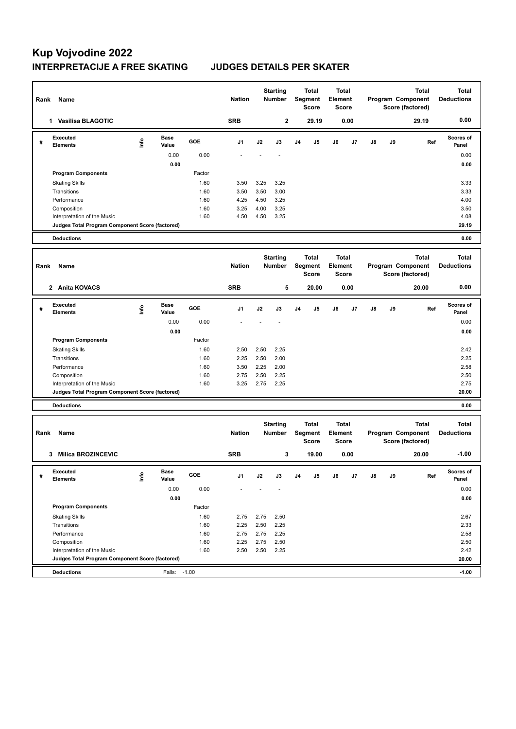## **Kup Vojvodine 2022 INTERPRETACIJE A FREE SKATING JUDGES DETAILS PER SKATER**

| Rank | Name                                            |      |                      |              | <b>Nation</b> |              | <b>Starting</b><br><b>Number</b> |                | <b>Total</b><br>Segment<br>Score | Element | <b>Total</b><br>Score |    |    | <b>Total</b><br>Program Component<br>Score (factored) | <b>Total</b><br><b>Deductions</b> |
|------|-------------------------------------------------|------|----------------------|--------------|---------------|--------------|----------------------------------|----------------|----------------------------------|---------|-----------------------|----|----|-------------------------------------------------------|-----------------------------------|
|      | 1 Vasilisa BLAGOTIC                             |      |                      |              | <b>SRB</b>    |              | $\mathbf 2$                      |                | 29.19                            |         | 0.00                  |    |    | 29.19                                                 | 0.00                              |
| #    | <b>Executed</b><br>Elements                     | ١nf٥ | Base<br>Value        | GOE          | J1            | J2           | J3                               | J4             | J5                               | J6      | J7                    | J8 | J9 | Ref                                                   | Scores of<br>Panel                |
|      |                                                 |      | 0.00<br>0.00         | 0.00         |               |              |                                  |                |                                  |         |                       |    |    |                                                       | 0.00<br>0.00                      |
|      | <b>Program Components</b>                       |      |                      | Factor       |               |              |                                  |                |                                  |         |                       |    |    |                                                       |                                   |
|      | <b>Skating Skills</b>                           |      |                      | 1.60         | 3.50          | 3.25         | 3.25                             |                |                                  |         |                       |    |    |                                                       | 3.33                              |
|      | Transitions                                     |      |                      | 1.60         | 3.50          | 3.50         | 3.00                             |                |                                  |         |                       |    |    |                                                       | 3.33                              |
|      | Performance                                     |      |                      | 1.60         | 4.25          | 4.50         | 3.25                             |                |                                  |         |                       |    |    |                                                       | 4.00                              |
|      | Composition                                     |      |                      | 1.60         | 3.25          | 4.00         | 3.25                             |                |                                  |         |                       |    |    |                                                       | 3.50                              |
|      | Interpretation of the Music                     |      |                      | 1.60         | 4.50          | 4.50         | 3.25                             |                |                                  |         |                       |    |    |                                                       | 4.08                              |
|      | Judges Total Program Component Score (factored) |      |                      |              |               |              |                                  |                |                                  |         |                       |    |    |                                                       | 29.19                             |
|      | <b>Deductions</b>                               |      |                      |              |               |              |                                  |                |                                  |         |                       |    |    |                                                       | 0.00                              |
| Rank | Name                                            |      |                      |              | <b>Nation</b> |              | <b>Starting</b><br><b>Number</b> |                | <b>Total</b><br>Segment<br>Score | Element | <b>Total</b><br>Score |    |    | <b>Total</b><br>Program Component<br>Score (factored) | <b>Total</b><br><b>Deductions</b> |
|      | 2 Anita KOVACS                                  |      |                      |              | <b>SRB</b>    |              | 5                                |                | 20.00                            |         | 0.00                  |    |    | 20.00                                                 | 0.00                              |
| #    | <b>Executed</b><br><b>Elements</b>              | lnfo | Base<br>Value        | GOE          | J1            | J2           | J3                               | J <sub>4</sub> | J5                               | J6      | J7                    | J8 | J9 | Ref                                                   | <b>Scores of</b><br>Panel         |
|      |                                                 |      | 0.00                 | 0.00         |               |              |                                  |                |                                  |         |                       |    |    |                                                       | 0.00                              |
|      |                                                 |      | 0.00                 |              |               |              |                                  |                |                                  |         |                       |    |    |                                                       | 0.00                              |
|      | <b>Program Components</b>                       |      |                      | Factor       |               |              |                                  |                |                                  |         |                       |    |    |                                                       |                                   |
|      | <b>Skating Skills</b>                           |      |                      | 1.60         | 2.50          | 2.50         | 2.25                             |                |                                  |         |                       |    |    |                                                       | 2.42                              |
|      | Transitions                                     |      |                      | 1.60         | 2.25          | 2.50         | 2.00                             |                |                                  |         |                       |    |    |                                                       | 2.25                              |
|      | Performance                                     |      |                      | 1.60         | 3.50          | 2.25         | 2.00                             |                |                                  |         |                       |    |    |                                                       | 2.58                              |
|      | Composition<br>Interpretation of the Music      |      |                      | 1.60<br>1.60 | 2.75<br>3.25  | 2.50<br>2.75 | 2.25<br>2.25                     |                |                                  |         |                       |    |    |                                                       | 2.50<br>2.75                      |
|      | Judges Total Program Component Score (factored) |      |                      |              |               |              |                                  |                |                                  |         |                       |    |    |                                                       | 20.00                             |
|      | <b>Deductions</b>                               |      |                      |              |               |              |                                  |                |                                  |         |                       |    |    |                                                       | 0.00                              |
|      |                                                 |      |                      |              |               |              |                                  |                |                                  |         |                       |    |    |                                                       |                                   |
| Rank | Name                                            |      |                      |              | <b>Nation</b> |              | <b>Starting</b><br><b>Number</b> |                | Total<br>Segment<br>Score        | Element | <b>Total</b><br>Score |    |    | <b>Total</b><br>Program Component<br>Score (factored) | <b>Total</b><br><b>Deductions</b> |
|      | <b>Milica BROZINCEVIC</b><br>3                  |      |                      |              | <b>SRB</b>    |              | 3                                |                | 19.00                            |         | 0.00                  |    |    | 20.00                                                 | $-1.00$                           |
| #    | Executed<br><b>Elements</b>                     | ١nfo | <b>Base</b><br>Value | GOE          | J1            | J2           | J3                               | J4             | J5                               | J6      | J7                    | J8 | J9 | Ref                                                   | Scores of<br>Panel                |
|      |                                                 |      | 0.00                 | 0.00         |               |              |                                  |                |                                  |         |                       |    |    |                                                       | 0.00                              |
|      |                                                 |      | 0.00                 |              |               |              |                                  |                |                                  |         |                       |    |    |                                                       | 0.00                              |
|      | <b>Program Components</b>                       |      |                      | Factor       |               |              |                                  |                |                                  |         |                       |    |    |                                                       |                                   |
|      | <b>Skating Skills</b>                           |      |                      | 1.60         | 2.75          | 2.75         | 2.50                             |                |                                  |         |                       |    |    |                                                       | 2.67                              |
|      | Transitions                                     |      |                      | 1.60         | 2.25          | 2.50         | 2.25                             |                |                                  |         |                       |    |    |                                                       | 2.33                              |
|      | Performance                                     |      |                      | 1.60         | 2.75          | 2.75         | 2.25                             |                |                                  |         |                       |    |    |                                                       | 2.58                              |
|      | Composition<br>Interpretation of the Music      |      |                      | 1.60<br>1.60 | 2.25<br>2.50  | 2.75<br>2.50 | 2.50<br>2.25                     |                |                                  |         |                       |    |    |                                                       | 2.50<br>2.42                      |
|      | Judges Total Program Component Score (factored) |      |                      |              |               |              |                                  |                |                                  |         |                       |    |    |                                                       | 20.00                             |
|      | <b>Deductions</b>                               |      | Falls: -1.00         |              |               |              |                                  |                |                                  |         |                       |    |    |                                                       | $-1.00$                           |
|      |                                                 |      |                      |              |               |              |                                  |                |                                  |         |                       |    |    |                                                       |                                   |